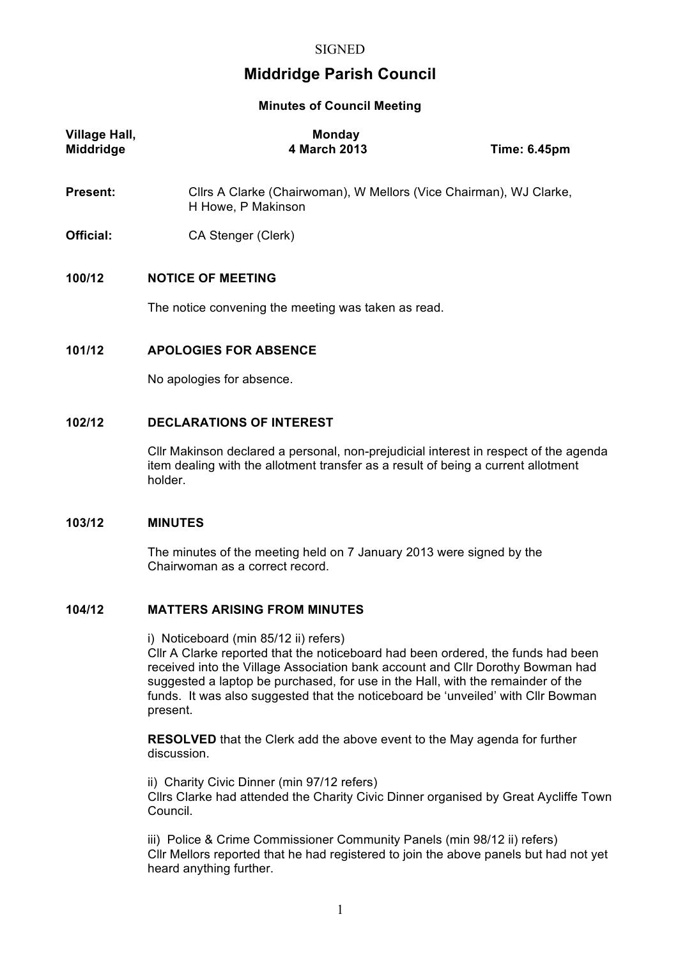# **Middridge Parish Council**

**Minutes of Council Meeting**

| <b>Village Hall,</b><br><b>Middridge</b> | <b>Monday</b><br>4 March 2013                                                            | <b>Time: 6.45pm</b> |  |
|------------------------------------------|------------------------------------------------------------------------------------------|---------------------|--|
| <b>Present:</b>                          | Cllrs A Clarke (Chairwoman), W Mellors (Vice Chairman), WJ Clarke,<br>H Howe, P Makinson |                     |  |
| Official:                                | CA Stenger (Clerk)                                                                       |                     |  |
| 100/12                                   | <b>NOTICE OF MEETING</b>                                                                 |                     |  |
|                                          | The notice convening the meeting was taken as read.                                      |                     |  |
| 101/12                                   | <b>APOLOGIES FOR ABSENCE</b>                                                             |                     |  |
|                                          | No apologies for absence.                                                                |                     |  |

# **102/12 DECLARATIONS OF INTEREST**

Cllr Makinson declared a personal, non-prejudicial interest in respect of the agenda item dealing with the allotment transfer as a result of being a current allotment holder.

## **103/12 MINUTES**

The minutes of the meeting held on 7 January 2013 were signed by the Chairwoman as a correct record.

### **104/12 MATTERS ARISING FROM MINUTES**

i) Noticeboard (min 85/12 ii) refers)

Cllr A Clarke reported that the noticeboard had been ordered, the funds had been received into the Village Association bank account and Cllr Dorothy Bowman had suggested a laptop be purchased, for use in the Hall, with the remainder of the funds. It was also suggested that the noticeboard be 'unveiled' with Cllr Bowman present.

**RESOLVED** that the Clerk add the above event to the May agenda for further discussion.

ii) Charity Civic Dinner (min 97/12 refers) Cllrs Clarke had attended the Charity Civic Dinner organised by Great Aycliffe Town Council.

iii) Police & Crime Commissioner Community Panels (min 98/12 ii) refers) Cllr Mellors reported that he had registered to join the above panels but had not yet heard anything further.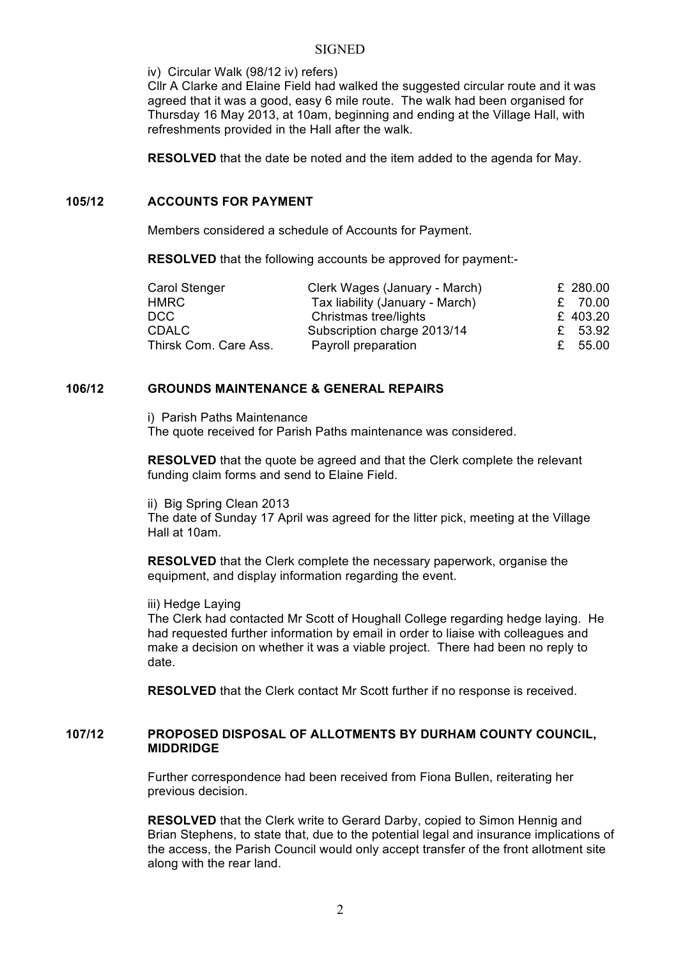#### **SIGNED**

iv) Circular Walk (98/12 iv) refers)

Cllr A Clarke and Elaine Field had walked the suggested circular route and it was agreed that it was a good, easy 6 mile route. The walk had been organised for Thursday 16 May 2013, at 10am, beginning and ending at the Village Hall, with refreshments provided in the Hall after the walk.

**RESOLVED** that the date be noted and the item added to the agenda for May.

## **105/12 ACCOUNTS FOR PAYMENT**

Members considered a schedule of Accounts for Payment.

**RESOLVED** that the following accounts be approved for payment:-

| Carol Stenger         | Clerk Wages (January - March)   | £ 280.00 |
|-----------------------|---------------------------------|----------|
| <b>HMRC</b>           | Tax liability (January - March) | £ 70.00  |
| DCC                   | Christmas tree/lights           | £ 403.20 |
| <b>CDALC</b>          | Subscription charge 2013/14     | £ 53.92  |
| Thirsk Com. Care Ass. | Payroll preparation             | £ 55.00  |

## **106/12 GROUNDS MAINTENANCE & GENERAL REPAIRS**

i) Parish Paths Maintenance The quote received for Parish Paths maintenance was considered.

**RESOLVED** that the quote be agreed and that the Clerk complete the relevant funding claim forms and send to Elaine Field.

ii) Big Spring Clean 2013

The date of Sunday 17 April was agreed for the litter pick, meeting at the Village Hall at 10am.

**RESOLVED** that the Clerk complete the necessary paperwork, organise the equipment, and display information regarding the event.

iii) Hedge Laying

The Clerk had contacted Mr Scott of Houghall College regarding hedge laying. He had requested further information by email in order to liaise with colleagues and make a decision on whether it was a viable project. There had been no reply to date.

**RESOLVED** that the Clerk contact Mr Scott further if no response is received.

### **107/12 PROPOSED DISPOSAL OF ALLOTMENTS BY DURHAM COUNTY COUNCIL, MIDDRIDGE**

Further correspondence had been received from Fiona Bullen, reiterating her previous decision.

**RESOLVED** that the Clerk write to Gerard Darby, copied to Simon Hennig and Brian Stephens, to state that, due to the potential legal and insurance implications of the access, the Parish Council would only accept transfer of the front allotment site along with the rear land.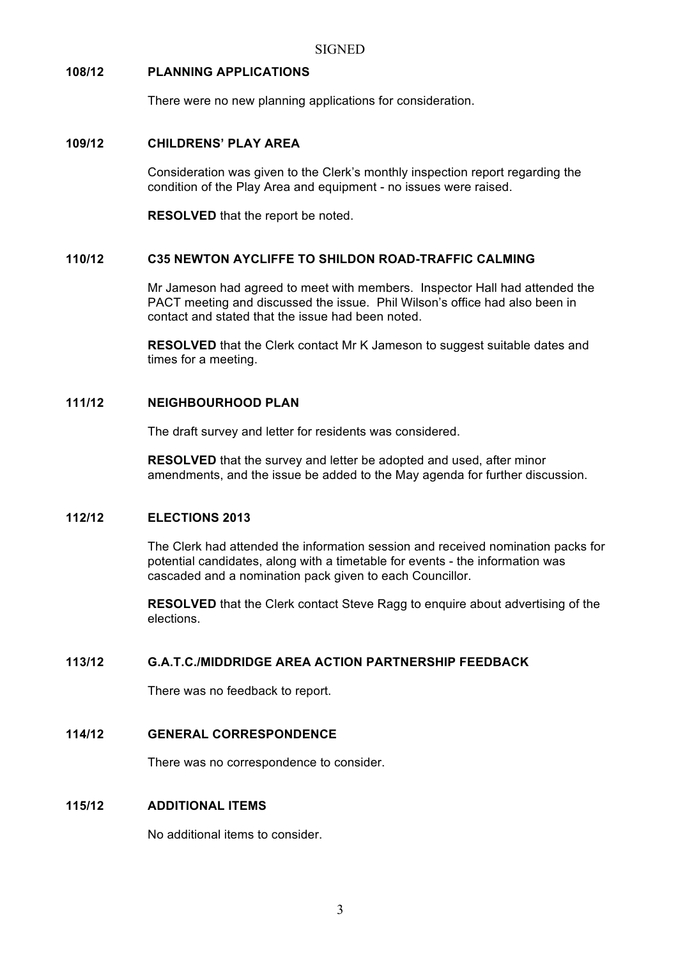# **108/12 PLANNING APPLICATIONS**

There were no new planning applications for consideration.

# **109/12 CHILDRENS' PLAY AREA**

Consideration was given to the Clerk's monthly inspection report regarding the condition of the Play Area and equipment - no issues were raised.

**RESOLVED** that the report be noted.

# **110/12 C35 NEWTON AYCLIFFE TO SHILDON ROAD-TRAFFIC CALMING**

Mr Jameson had agreed to meet with members. Inspector Hall had attended the PACT meeting and discussed the issue. Phil Wilson's office had also been in contact and stated that the issue had been noted.

**RESOLVED** that the Clerk contact Mr K Jameson to suggest suitable dates and times for a meeting.

## **111/12 NEIGHBOURHOOD PLAN**

The draft survey and letter for residents was considered.

**RESOLVED** that the survey and letter be adopted and used, after minor amendments, and the issue be added to the May agenda for further discussion.

# **112/12 ELECTIONS 2013**

The Clerk had attended the information session and received nomination packs for potential candidates, along with a timetable for events - the information was cascaded and a nomination pack given to each Councillor.

**RESOLVED** that the Clerk contact Steve Ragg to enquire about advertising of the elections.

### **113/12 G.A.T.C./MIDDRIDGE AREA ACTION PARTNERSHIP FEEDBACK**

There was no feedback to report.

# **114/12 GENERAL CORRESPONDENCE**

There was no correspondence to consider.

# **115/12 ADDITIONAL ITEMS**

No additional items to consider.